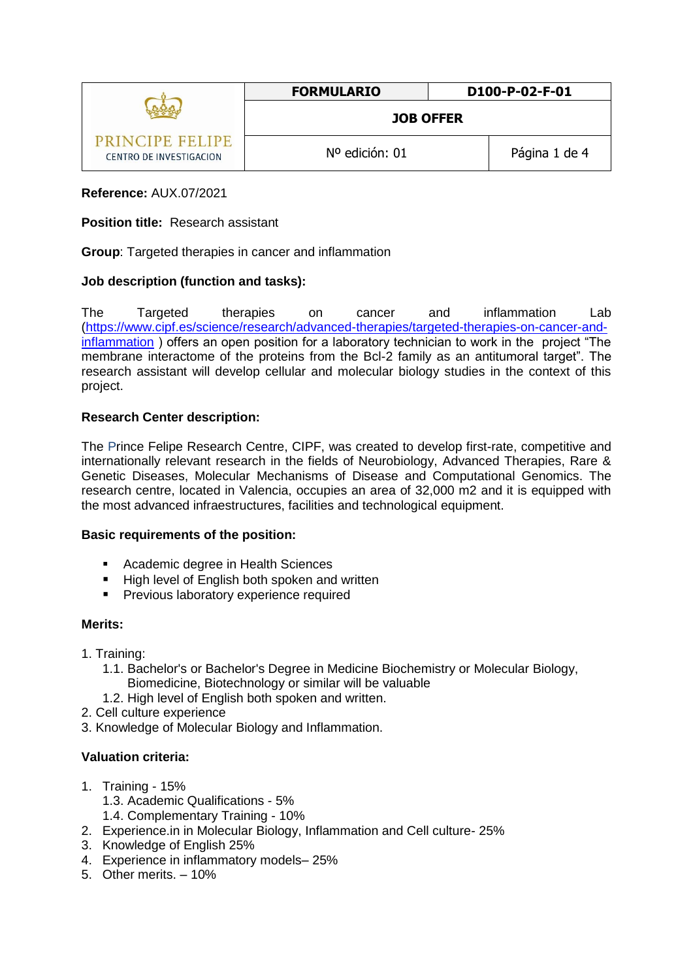|                                            | <b>FORMULARIO</b> | D100-P-02-F-01 |
|--------------------------------------------|-------------------|----------------|
|                                            | <b>JOB OFFER</b>  |                |
| PRINCIPE FELIPE<br>CENTRO DE INVESTIGACION | Nº edición: 01    | Página 1 de 4  |

# **Reference:** AUX.07/2021

## **Position title:** Research assistant

**Group**: Targeted therapies in cancer and inflammation

# **Job description (function and tasks):**

The Targeted therapies on cancer and inflammation Lab [\(https://www.cipf.es/science/research/advanced-therapies/targeted-therapies-on-cancer-and](https://www.cipf.es/science/research/advanced-therapies/targeted-therapies-on-cancer-and-inflammation)[inflammation](https://www.cipf.es/science/research/advanced-therapies/targeted-therapies-on-cancer-and-inflammation) ) offers an open position for a laboratory technician to work in the project "The membrane interactome of the proteins from the Bcl-2 family as an antitumoral target". The research assistant will develop cellular and molecular biology studies in the context of this project.

## **Research Center description:**

The Prince Felipe Research Centre, CIPF, was created to develop first-rate, competitive and internationally relevant research in the fields of Neurobiology, Advanced Therapies, Rare & Genetic Diseases, Molecular Mechanisms of Disease and Computational Genomics. The research centre, located in Valencia, occupies an area of 32,000 m2 and it is equipped with the most advanced infraestructures, facilities and technological equipment.

## **Basic requirements of the position:**

- **Academic degree in Health Sciences**
- High level of English both spoken and written
- **Previous laboratory experience required**

## **Merits:**

- 1. Training:
	- 1.1. Bachelor's or Bachelor's Degree in Medicine Biochemistry or Molecular Biology, Biomedicine, Biotechnology or similar will be valuable
	- 1.2. High level of English both spoken and written.
- 2. Cell culture experience
- 3. Knowledge of Molecular Biology and Inflammation.

## **Valuation criteria:**

- 1. Training 15%
	- 1.3. Academic Qualifications 5%
	- 1.4. Complementary Training 10%
- 2. Experience.in in Molecular Biology, Inflammation and Cell culture- 25%
- 3. Knowledge of English 25%
- 4. Experience in inflammatory models– 25%
- 5. Other merits. 10%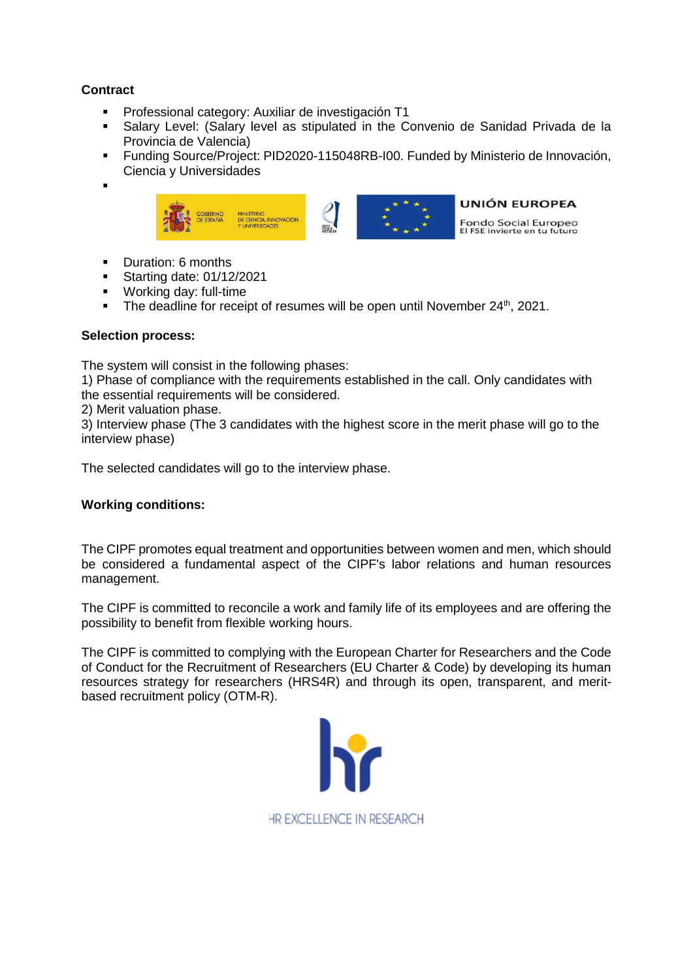# **Contract**

- **Professional category: Auxiliar de investigación T1**
- Salary Level: (Salary level as stipulated in the Convenio de Sanidad Privada de la Provincia de Valencia)
- Funding Source/Project: PID2020-115048RB-I00. Funded by Ministerio de Innovación, Ciencia y Universidades
- .



- **-** Duration: 6 months
- **Starting date: 01/12/2021**
- **Working day: full-time**
- The deadline for receipt of resumes will be open until November  $24<sup>th</sup>$ , 2021.

## **Selection process:**

The system will consist in the following phases:

1) Phase of compliance with the requirements established in the call. Only candidates with the essential requirements will be considered.

2) Merit valuation phase.

3) Interview phase (The 3 candidates with the highest score in the merit phase will go to the interview phase)

The selected candidates will go to the interview phase.

## **Working conditions:**

The CIPF promotes equal treatment and opportunities between women and men, which should be considered a fundamental aspect of the CIPF's labor relations and human resources management.

The CIPF is committed to reconcile a work and family life of its employees and are offering the possibility to benefit from flexible working hours.

The CIPF is committed to complying with the European Charter for Researchers and the Code of Conduct for the Recruitment of Researchers (EU Charter & Code) by developing its human resources strategy for researchers (HRS4R) and through its open, transparent, and meritbased recruitment policy [\(OTM-R\)](https://euraxess.ec.europa.eu/europe/news/new-open-transparent-and-merit-based-recruitment-researchers-otm-r).

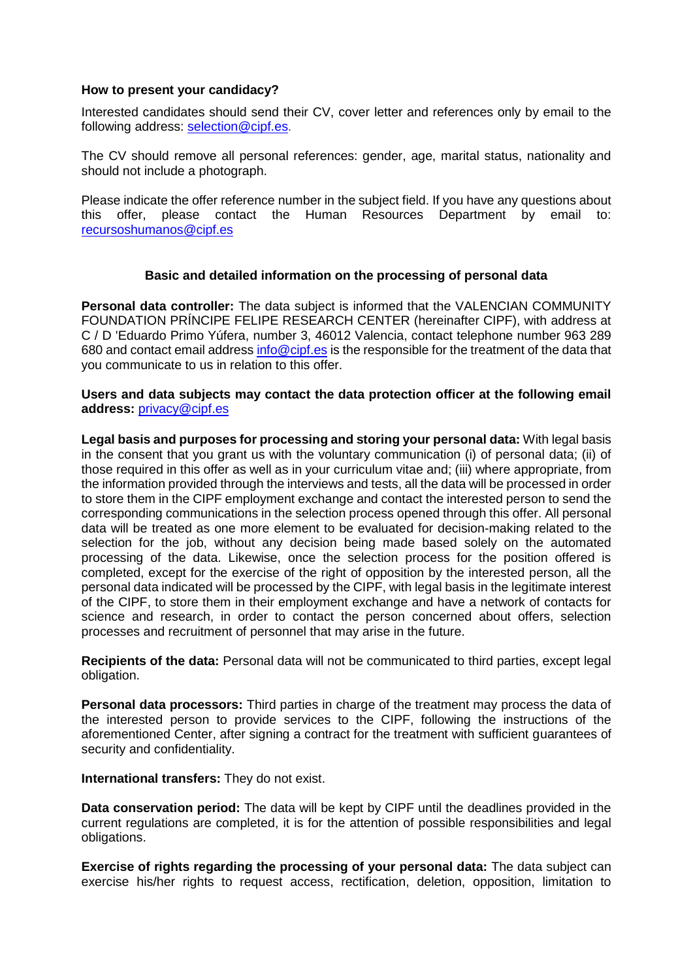#### **How to present your candidacy?**

Interested candidates should send their CV, cover letter and references only by email to the following address: [selection@cipf.es.](mailto:selection@cipf.es)

The CV should remove all personal references: gender, age, marital status, nationality and should not include a photograph.

Please indicate the offer reference number in the subject field. If you have any questions about this offer, please contact the Human Resources Department by email to: [recursoshumanos@cipf.es](mailto:recursoshumanos@cipf.es)

## **Basic and detailed information on the processing of personal data**

**Personal data controller:** The data subject is informed that the VALENCIAN COMMUNITY FOUNDATION PRÍNCIPE FELIPE RESEARCH CENTER (hereinafter CIPF), with address at C / D 'Eduardo Primo Yúfera, number 3, 46012 Valencia, contact telephone number 963 289 680 and contact email addres[s info@cipf.es](mailto:info@cipf.es) is the responsible for the treatment of the data that you communicate to us in relation to this offer.

#### **Users and data subjects may contact the data protection officer at the following email address:** [privacy@cipf.es](mailto:privacy@cipf.es)

**Legal basis and purposes for processing and storing your personal data:** With legal basis in the consent that you grant us with the voluntary communication (i) of personal data; (ii) of those required in this offer as well as in your curriculum vitae and; (iii) where appropriate, from the information provided through the interviews and tests, all the data will be processed in order to store them in the CIPF employment exchange and contact the interested person to send the corresponding communications in the selection process opened through this offer. All personal data will be treated as one more element to be evaluated for decision-making related to the selection for the job, without any decision being made based solely on the automated processing of the data. Likewise, once the selection process for the position offered is completed, except for the exercise of the right of opposition by the interested person, all the personal data indicated will be processed by the CIPF, with legal basis in the legitimate interest of the CIPF, to store them in their employment exchange and have a network of contacts for science and research, in order to contact the person concerned about offers, selection processes and recruitment of personnel that may arise in the future.

**Recipients of the data:** Personal data will not be communicated to third parties, except legal obligation.

**Personal data processors:** Third parties in charge of the treatment may process the data of the interested person to provide services to the CIPF, following the instructions of the aforementioned Center, after signing a contract for the treatment with sufficient guarantees of security and confidentiality.

**International transfers:** They do not exist.

**Data conservation period:** The data will be kept by CIPF until the deadlines provided in the current regulations are completed, it is for the attention of possible responsibilities and legal obligations.

**Exercise of rights regarding the processing of your personal data:** The data subject can exercise his/her rights to request access, rectification, deletion, opposition, limitation to